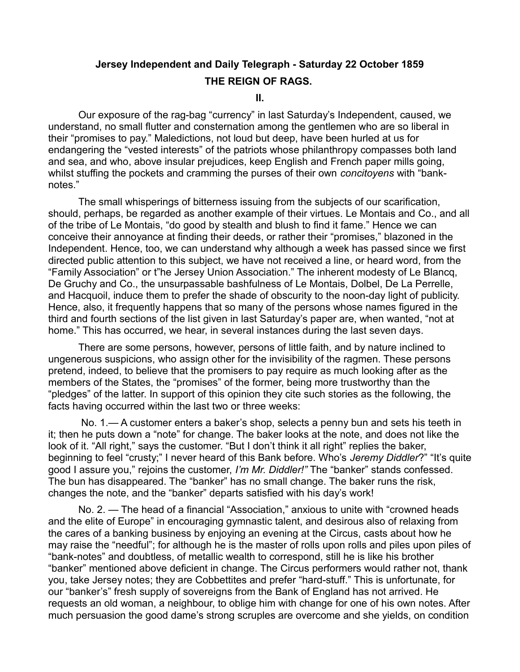## **Jersey Independent and Daily Telegraph - Saturday 22 October 1859 THE REIGN OF RAGS.**

**II.**

Our exposure of the rag-bag "currency" in last Saturday's Independent, caused, we understand, no small flutter and consternation among the gentlemen who are so liberal in their "promises to pay." Maledictions, not loud but deep, have been hurled at us for endangering the "vested interests" of the patriots whose philanthropy compasses both land and sea, and who, above insular prejudices, keep English and French paper mills going, whilst stuffing the pockets and cramming the purses of their own *concitoyens* with "banknotes."

The small whisperings of bitterness issuing from the subjects of our scarification, should, perhaps, be regarded as another example of their virtues. Le Montais and Co., and all of the tribe of Le Montais, "do good by stealth and blush to find it fame." Hence we can conceive their annoyance at finding their deeds, or rather their "promises," blazoned in the Independent. Hence, too, we can understand why although a week has passed since we first directed public attention to this subject, we have not received a line, or heard word, from the "Family Association" or t"he Jersey Union Association." The inherent modesty of Le Blancq, De Gruchy and Co., the unsurpassable bashfulness of Le Montais, Dolbel, De La Perrelle, and Hacquoil, induce them to prefer the shade of obscurity to the noon-day light of publicity. Hence, also, it frequently happens that so many of the persons whose names figured in the third and fourth sections of the list given in last Saturday's paper are, when wanted, "not at home." This has occurred, we hear, in several instances during the last seven days.

There are some persons, however, persons of little faith, and by nature inclined to ungenerous suspicions, who assign other for the invisibility of the ragmen. These persons pretend, indeed, to believe that the promisers to pay require as much looking after as the members of the States, the "promises" of the former, being more trustworthy than the "pledges" of the latter. In support of this opinion they cite such stories as the following, the facts having occurred within the last two or three weeks:

 No. 1.— A customer enters a baker's shop, selects a penny bun and sets his teeth in it; then he puts down a "note" for change. The baker looks at the note, and does not like the look of it. "All right," says the customer. "But I don't think it all right" replies the baker, beginning to feel "crusty;" I never heard of this Bank before. Who's *Jeremy Diddler*?" "It's quite good I assure you," rejoins the customer, *I'm Mr. Diddler!"* The "banker" stands confessed. The bun has disappeared. The "banker" has no small change. The baker runs the risk, changes the note, and the "banker" departs satisfied with his day's work!

No. 2. — The head of a financial "Association," anxious to unite with "crowned heads and the elite of Europe" in encouraging gymnastic talent, and desirous also of relaxing from the cares of a banking business by enjoying an evening at the Circus, casts about how he may raise the "needful"; for although he is the master of rolls upon rolls and piles upon piles of "bank-notes" and doubtless, of metallic wealth to correspond, still he is like his brother "banker" mentioned above deficient in change. The Circus performers would rather not, thank you, take Jersey notes; they are Cobbettites and prefer "hard-stuff." This is unfortunate, for our "banker's" fresh supply of sovereigns from the Bank of England has not arrived. He requests an old woman, a neighbour, to oblige him with change for one of his own notes. After much persuasion the good dame's strong scruples are overcome and she yields, on condition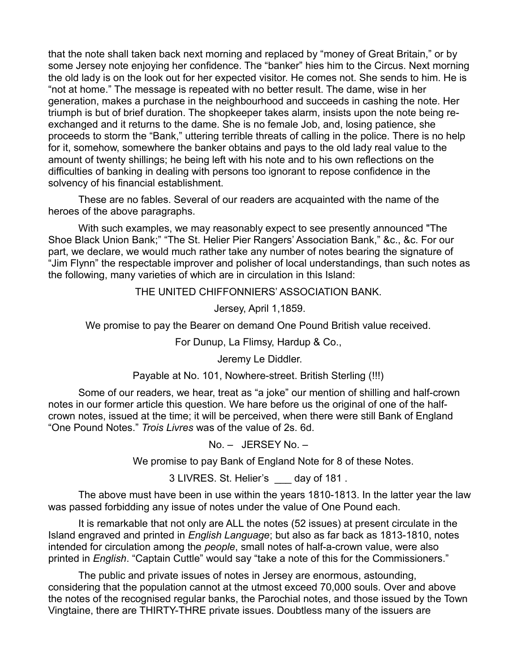that the note shall taken back next morning and replaced by "money of Great Britain," or by some Jersey note enjoying her confidence. The "banker" hies him to the Circus. Next morning the old lady is on the look out for her expected visitor. He comes not. She sends to him. He is "not at home." The message is repeated with no better result. The dame, wise in her generation, makes a purchase in the neighbourhood and succeeds in cashing the note. Her triumph is but of brief duration. The shopkeeper takes alarm, insists upon the note being reexchanged and it returns to the dame. She is no female Job, and, losing patience, she proceeds to storm the "Bank," uttering terrible threats of calling in the police. There is no help for it, somehow, somewhere the banker obtains and pays to the old lady real value to the amount of twenty shillings; he being left with his note and to his own reflections on the difficulties of banking in dealing with persons too ignorant to repose confidence in the solvency of his financial establishment.

These are no fables. Several of our readers are acquainted with the name of the heroes of the above paragraphs.

With such examples, we may reasonably expect to see presently announced "The Shoe Black Union Bank;" "The St. Helier Pier Rangers' Association Bank," &c., &c. For our part, we declare, we would much rather take any number of notes bearing the signature of "Jim Flynn" the respectable improver and polisher of local understandings, than such notes as the following, many varieties of which are in circulation in this Island:

## THE UNITED CHIFFONNIERS' ASSOCIATION BANK.

Jersey, April 1,1859.

We promise to pay the Bearer on demand One Pound British value received.

For Dunup, La Flimsy, Hardup & Co.,

Jeremy Le Diddler.

Payable at No. 101, Nowhere-street. British Sterling (!!!)

Some of our readers, we hear, treat as "a joke" our mention of shilling and half-crown notes in our former article this question. We hare before us the original of one of the halfcrown notes, issued at the time; it will be perceived, when there were still Bank of England "One Pound Notes." *Trois Livres* was of the value of 2s. 6d.

No. – JERSEY No. –

We promise to pay Bank of England Note for 8 of these Notes.

3 LIVRES. St. Helier's \_\_\_ day of 181 .

The above must have been in use within the years 1810-1813. In the latter year the law was passed forbidding any issue of notes under the value of One Pound each.

It is remarkable that not only are ALL the notes (52 issues) at present circulate in the Island engraved and printed in *English Language*; but also as far back as 1813-1810, notes intended for circulation among the *people*, small notes of half-a-crown value, were also printed in *English*. "Captain Cuttle" would say "take a note of this for the Commissioners."

The public and private issues of notes in Jersey are enormous, astounding, considering that the population cannot at the utmost exceed 70,000 souls. Over and above the notes of the recognised regular banks, the Parochial notes, and those issued by the Town Vingtaine, there are THIRTY-THRE private issues. Doubtless many of the issuers are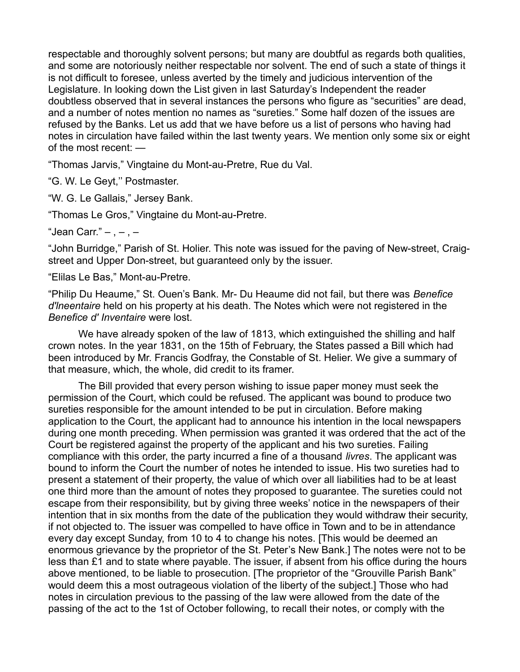respectable and thoroughly solvent persons; but many are doubtful as regards both qualities, and some are notoriously neither respectable nor solvent. The end of such a state of things it is not difficult to foresee, unless averted by the timely and judicious intervention of the Legislature. In looking down the List given in last Saturday's Independent the reader doubtless observed that in several instances the persons who figure as "securities" are dead, and a number of notes mention no names as "sureties." Some half dozen of the issues are refused by the Banks. Let us add that we have before us a list of persons who having had notes in circulation have failed within the last twenty years. We mention only some six or eight of the most recent: —

"Thomas Jarvis," Vingtaine du Mont-au-Pretre, Rue du Val.

"G. W. Le Geyt,'' Postmaster.

"W. G. Le Gallais," Jersey Bank.

"Thomas Le Gros," Vingtaine du Mont-au-Pretre.

"Jean Carr."  $-$  ,  $-$  ,  $-$ 

"John Burridge," Parish of St. Holier. This note was issued for the paving of New-street, Craigstreet and Upper Don-street, but guaranteed only by the issuer.

"Elilas Le Bas," Mont-au-Pretre.

"Philip Du Heaume," St. Ouen's Bank. Mr- Du Heaume did not fail, but there was *Benefice d'lneentaire* held on his property at his death. The Notes which were not registered in the *Benefice d' Inventaire* were lost.

We have already spoken of the law of 1813, which extinguished the shilling and half crown notes. In the year 1831, on the 15th of February, the States passed a Bill which had been introduced by Mr. Francis Godfray, the Constable of St. Helier. We give a summary of that measure, which, the whole, did credit to its framer.

The Bill provided that every person wishing to issue paper money must seek the permission of the Court, which could be refused. The applicant was bound to produce two sureties responsible for the amount intended to be put in circulation. Before making application to the Court, the applicant had to announce his intention in the local newspapers during one month preceding. When permission was granted it was ordered that the act of the Court be registered against the property of the applicant and his two sureties. Failing compliance with this order, the party incurred a fine of a thousand *livres*. The applicant was bound to inform the Court the number of notes he intended to issue. His two sureties had to present a statement of their property, the value of which over all liabilities had to be at least one third more than the amount of notes they proposed to guarantee. The sureties could not escape from their responsibility, but by giving three weeks' notice in the newspapers of their intention that in six months from the date of the publication they would withdraw their security, if not objected to. The issuer was compelled to have office in Town and to be in attendance every day except Sunday, from 10 to 4 to change his notes. [This would be deemed an enormous grievance by the proprietor of the St. Peter's New Bank.] The notes were not to be less than £1 and to state where payable. The issuer, if absent from his office during the hours above mentioned, to be liable to prosecution. [The proprietor of the "Grouville Parish Bank" would deem this a most outrageous violation of the liberty of the subject.] Those who had notes in circulation previous to the passing of the law were allowed from the date of the passing of the act to the 1st of October following, to recall their notes, or comply with the